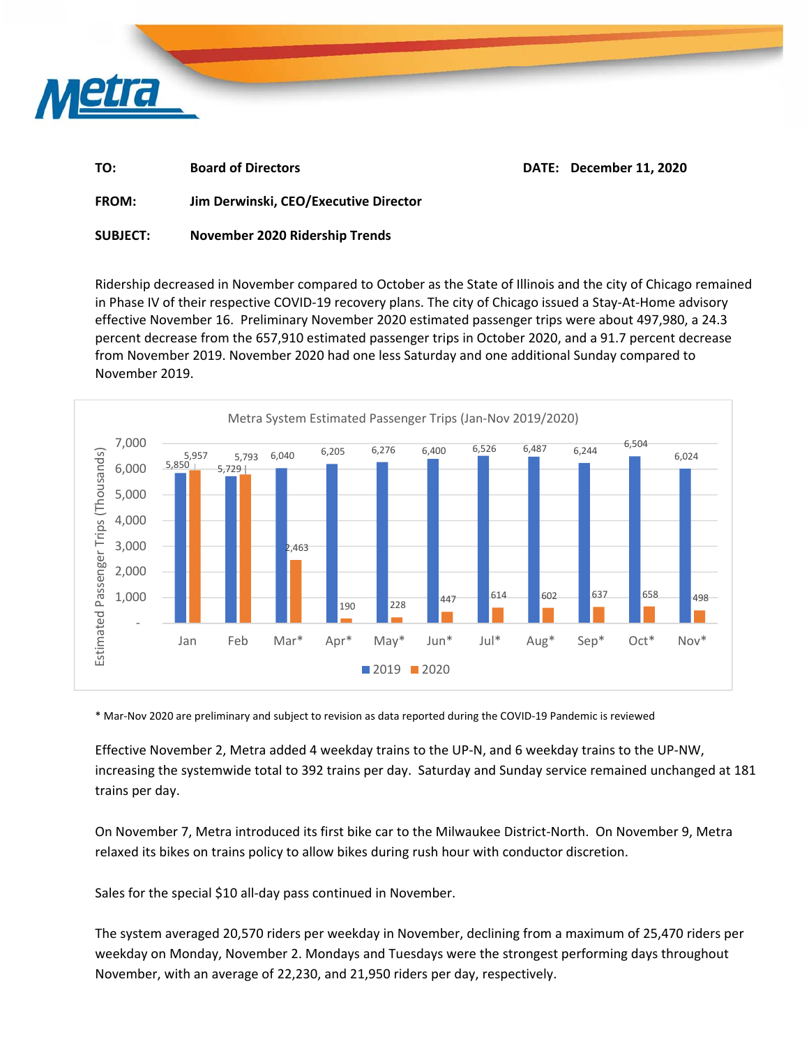

| TO: | <b>Board of Directors</b> | DATE: December 11, 2020 |
|-----|---------------------------|-------------------------|
|     |                           |                         |

**FROM: Jim Derwinski, CEO/Executive Director** 

**SUBJECT: November 2020 Ridership Trends** 

Ridership decreased in November compared to October as the State of Illinois and the city of Chicago remained in Phase IV of their respective COVID‐19 recovery plans. The city of Chicago issued a Stay‐At‐Home advisory effective November 16. Preliminary November 2020 estimated passenger trips were about 497,980, a 24.3 percent decrease from the 657,910 estimated passenger trips in October 2020, and a 91.7 percent decrease from November 2019. November 2020 had one less Saturday and one additional Sunday compared to November 2019.



\* Mar‐Nov 2020 are preliminary and subject to revision as data reported during the COVID‐19 Pandemic is reviewed

Effective November 2, Metra added 4 weekday trains to the UP‐N, and 6 weekday trains to the UP‐NW, increasing the systemwide total to 392 trains per day. Saturday and Sunday service remained unchanged at 181 trains per day.

On November 7, Metra introduced its first bike car to the Milwaukee District‐North. On November 9, Metra relaxed its bikes on trains policy to allow bikes during rush hour with conductor discretion.

Sales for the special \$10 all-day pass continued in November.

The system averaged 20,570 riders per weekday in November, declining from a maximum of 25,470 riders per weekday on Monday, November 2. Mondays and Tuesdays were the strongest performing days throughout November, with an average of 22,230, and 21,950 riders per day, respectively.